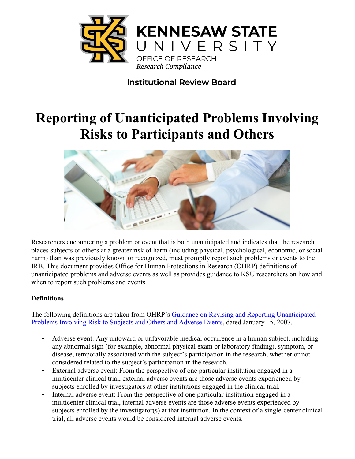

# Institutional Review Board

# **Reporting of Unanticipated Problems Involving Risks to Participants and Others**



Researchers encountering a problem or event that is both unanticipated and indicates that the research places subjects or others at a greater risk of harm (including physical, psychological, economic, or social harm) than was previously known or recognized, must promptly report such problems or events to the IRB. This document provides Office for Human Protections in Research (OHRP) definitions of unanticipated problems and adverse events as well as provides guidance to KSU researchers on how and when to report such problems and events.

## **Definitions**

The following definitions are taken from OHRP's [Guidance on Revising and Reporting Unanticipated](http://www.hhs.gov/ohrp/policy/advevntguid.html)  [Problems Involving Risk to Subjects and Others and Adverse Events](http://www.hhs.gov/ohrp/policy/advevntguid.html), dated January 15, 2007.

- Adverse event: Any untoward or unfavorable medical occurrence in a human subject, including any abnormal sign (for example, abnormal physical exam or laboratory finding), symptom, or disease, temporally associated with the subject's participation in the research, whether or not considered related to the subject's participation in the research.
- External adverse event: From the perspective of one particular institution engaged in a multicenter clinical trial, external adverse events are those adverse events experienced by subjects enrolled by investigators at other institutions engaged in the clinical trial.
- Internal adverse event: From the perspective of one particular institution engaged in a multicenter clinical trial, internal adverse events are those adverse events experienced by subjects enrolled by the investigator(s) at that institution. In the context of a single-center clinical trial, all adverse events would be considered internal adverse events.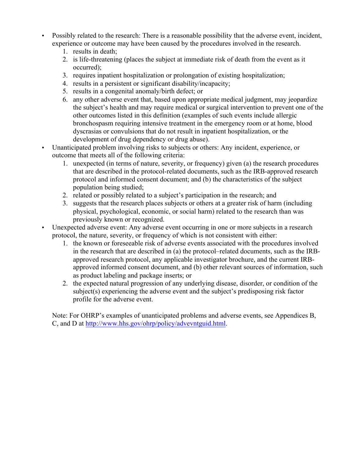- Possibly related to the research: There is a reasonable possibility that the adverse event, incident, experience or outcome may have been caused by the procedures involved in the research.
	- 1. results in death;
	- 2. is life-threatening (places the subject at immediate risk of death from the event as it occurred);
	- 3. requires inpatient hospitalization or prolongation of existing hospitalization;
	- 4. results in a persistent or significant disability/incapacity;
	- 5. results in a congenital anomaly/birth defect; or
	- 6. any other adverse event that, based upon appropriate medical judgment, may jeopardize the subject's health and may require medical or surgical intervention to prevent one of the other outcomes listed in this definition (examples of such events include allergic bronchospasm requiring intensive treatment in the emergency room or at home, blood dyscrasias or convulsions that do not result in inpatient hospitalization, or the development of drug dependency or drug abuse).
- Unanticipated problem involving risks to subjects or others: Any incident, experience, or outcome that meets all of the following criteria:
	- 1. unexpected (in terms of nature, severity, or frequency) given (a) the research procedures that are described in the protocol-related documents, such as the IRB-approved research protocol and informed consent document; and (b) the characteristics of the subject population being studied;
	- 2. related or possibly related to a subject's participation in the research; and
	- 3. suggests that the research places subjects or others at a greater risk of harm (including physical, psychological, economic, or social harm) related to the research than was previously known or recognized.
- Unexpected adverse event: Any adverse event occurring in one or more subjects in a research protocol, the nature, severity, or frequency of which is not consistent with either:
	- 1. the known or foreseeable risk of adverse events associated with the procedures involved in the research that are described in (a) the protocol–related documents, such as the IRBapproved research protocol, any applicable investigator brochure, and the current IRBapproved informed consent document, and (b) other relevant sources of information, such as product labeling and package inserts; or
	- 2. the expected natural progression of any underlying disease, disorder, or condition of the subject(s) experiencing the adverse event and the subject's predisposing risk factor profile for the adverse event.

Note: For OHRP's examples of unanticipated problems and adverse events, see Appendices B, C, and D at http://www.hhs.gov/ohrp/policy/advevntguid.html.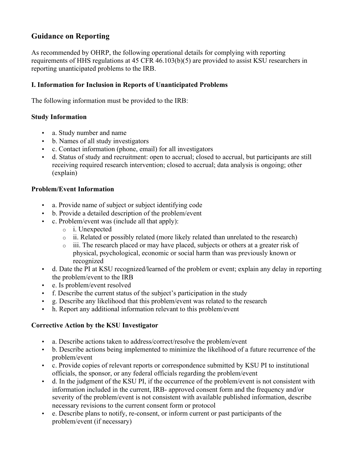## **Guidance on Reporting**

As recommended by OHRP, the following operational details for complying with reporting requirements of HHS regulations at 45 CFR 46.103(b)(5) are provided to assist KSU researchers in reporting unanticipated problems to the IRB.

### **I. Information for Inclusion in Reports of Unanticipated Problems**

The following information must be provided to the IRB:

#### **Study Information**

- a. Study number and name
- b. Names of all study investigators
- c. Contact information (phone, email) for all investigators
- d. Status of study and recruitment: open to accrual; closed to accrual, but participants are still receiving required research intervention; closed to accrual; data analysis is ongoing; other (explain)

#### **Problem/Event Information**

- a. Provide name of subject or subject identifying code
- b. Provide a detailed description of the problem/event
- c. Problem/event was (include all that apply):
	- o i. Unexpected
	- $\circ$  ii. Related or possibly related (more likely related than unrelated to the research)
	- o iii. The research placed or may have placed, subjects or others at a greater risk of physical, psychological, economic or social harm than was previously known or recognized
- d. Date the PI at KSU recognized/learned of the problem or event; explain any delay in reporting the problem/event to the IRB
- e. Is problem/event resolved
- f. Describe the current status of the subject's participation in the study
- g. Describe any likelihood that this problem/event was related to the research
- h. Report any additional information relevant to this problem/event

#### **Corrective Action by the KSU Investigator**

- a. Describe actions taken to address/correct/resolve the problem/event
- b. Describe actions being implemented to minimize the likelihood of a future recurrence of the problem/event
- c. Provide copies of relevant reports or correspondence submitted by KSU PI to institutional officials, the sponsor, or any federal officials regarding the problem/event
- d. In the judgment of the KSU PI, if the occurrence of the problem/event is not consistent with information included in the current, IRB- approved consent form and the frequency and/or severity of the problem/event is not consistent with available published information, describe necessary revisions to the current consent form or protocol
- e. Describe plans to notify, re-consent, or inform current or past participants of the problem/event (if necessary)